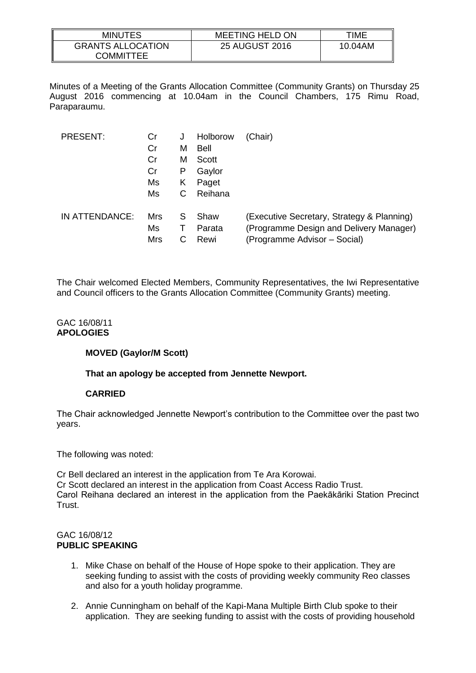| MINUTES                  | <b>MEETING HELD ON</b> | TIME    |
|--------------------------|------------------------|---------|
| <b>GRANTS ALLOCATION</b> | <b>25 AUGUST 2016</b>  | 10.04AM |
| <b>COMMITTEE</b>         |                        |         |

Minutes of a Meeting of the Grants Allocation Committee (Community Grants) on Thursday 25 August 2016 commencing at 10.04am in the Council Chambers, 175 Rimu Road, Paraparaumu.

| <b>PRESENT:</b> | Cr<br>Cr                | М      | Holborow<br>Bell       | (Chair)                                                                                                               |
|-----------------|-------------------------|--------|------------------------|-----------------------------------------------------------------------------------------------------------------------|
|                 | Cr                      | м      | Scott                  |                                                                                                                       |
|                 | Cr<br>Ms                | Р<br>Κ | Gaylor<br>Paget        |                                                                                                                       |
|                 | Ms                      |        | Reihana                |                                                                                                                       |
| IN ATTENDANCE:  | Mrs<br>Ms<br><b>Mrs</b> | S      | Shaw<br>Parata<br>Rewi | (Executive Secretary, Strategy & Planning)<br>(Programme Design and Delivery Manager)<br>(Programme Advisor - Social) |

The Chair welcomed Elected Members, Community Representatives, the Iwi Representative and Council officers to the Grants Allocation Committee (Community Grants) meeting.

#### GAC 16/08/11 **APOLOGIES**

# **MOVED (Gaylor/M Scott)**

**That an apology be accepted from Jennette Newport.**

# **CARRIED**

The Chair acknowledged Jennette Newport's contribution to the Committee over the past two years.

The following was noted:

Cr Bell declared an interest in the application from Te Ara Korowai. Cr Scott declared an interest in the application from Coast Access Radio Trust. Carol Reihana declared an interest in the application from the Paekākāriki Station Precinct Trust.

# GAC 16/08/12 **PUBLIC SPEAKING**

- 1. Mike Chase on behalf of the House of Hope spoke to their application. They are seeking funding to assist with the costs of providing weekly community Reo classes and also for a youth holiday programme.
- 2. Annie Cunningham on behalf of the Kapi-Mana Multiple Birth Club spoke to their application. They are seeking funding to assist with the costs of providing household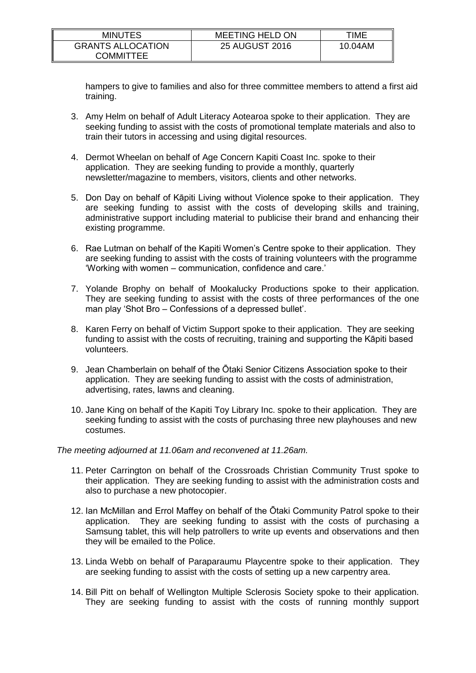| <b>MINUTES</b>           | <b>MEETING HELD ON</b> | TIME    |
|--------------------------|------------------------|---------|
| <b>GRANTS ALLOCATION</b> | <b>25 AUGUST 2016</b>  | 10.04AM |
| COMMITTEE                |                        |         |

hampers to give to families and also for three committee members to attend a first aid training.

- 3. Amy Helm on behalf of Adult Literacy Aotearoa spoke to their application. They are seeking funding to assist with the costs of promotional template materials and also to train their tutors in accessing and using digital resources.
- 4. Dermot Wheelan on behalf of Age Concern Kapiti Coast Inc. spoke to their application. They are seeking funding to provide a monthly, quarterly newsletter/magazine to members, visitors, clients and other networks.
- 5. Don Day on behalf of Kāpiti Living without Violence spoke to their application. They are seeking funding to assist with the costs of developing skills and training, administrative support including material to publicise their brand and enhancing their existing programme.
- 6. Rae Lutman on behalf of the Kapiti Women's Centre spoke to their application. They are seeking funding to assist with the costs of training volunteers with the programme 'Working with women – communication, confidence and care.'
- 7. Yolande Brophy on behalf of Mookalucky Productions spoke to their application. They are seeking funding to assist with the costs of three performances of the one man play 'Shot Bro – Confessions of a depressed bullet'.
- 8. Karen Ferry on behalf of Victim Support spoke to their application. They are seeking funding to assist with the costs of recruiting, training and supporting the Kāpiti based volunteers.
- 9. Jean Chamberlain on behalf of the Ōtaki Senior Citizens Association spoke to their application. They are seeking funding to assist with the costs of administration, advertising, rates, lawns and cleaning.
- 10. Jane King on behalf of the Kapiti Toy Library Inc. spoke to their application. They are seeking funding to assist with the costs of purchasing three new playhouses and new costumes.

*The meeting adjourned at 11.06am and reconvened at 11.26am.*

- 11. Peter Carrington on behalf of the Crossroads Christian Community Trust spoke to their application. They are seeking funding to assist with the administration costs and also to purchase a new photocopier.
- 12. Ian McMillan and Errol Maffey on behalf of the Ōtaki Community Patrol spoke to their application. They are seeking funding to assist with the costs of purchasing a Samsung tablet, this will help patrollers to write up events and observations and then they will be emailed to the Police.
- 13. Linda Webb on behalf of Paraparaumu Playcentre spoke to their application. They are seeking funding to assist with the costs of setting up a new carpentry area.
- 14. Bill Pitt on behalf of Wellington Multiple Sclerosis Society spoke to their application. They are seeking funding to assist with the costs of running monthly support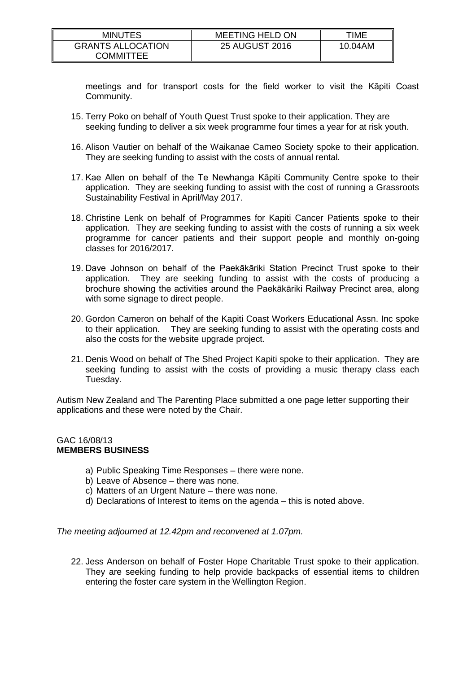| <b>MINUTES</b>                        | <b>MEETING HELD ON</b> | TIME    |
|---------------------------------------|------------------------|---------|
| <b>GRANTS ALLOCATION</b><br>COMMITTEE | <b>25 AUGUST 2016</b>  | 10.04AM |

meetings and for transport costs for the field worker to visit the Kāpiti Coast Community.

- 15. Terry Poko on behalf of Youth Quest Trust spoke to their application. They are seeking funding to deliver a six week programme four times a year for at risk youth.
- 16. Alison Vautier on behalf of the Waikanae Cameo Society spoke to their application. They are seeking funding to assist with the costs of annual rental.
- 17. Kae Allen on behalf of the Te Newhanga Kāpiti Community Centre spoke to their application. They are seeking funding to assist with the cost of running a Grassroots Sustainability Festival in April/May 2017.
- 18. Christine Lenk on behalf of Programmes for Kapiti Cancer Patients spoke to their application. They are seeking funding to assist with the costs of running a six week programme for cancer patients and their support people and monthly on-going classes for 2016/2017.
- 19. Dave Johnson on behalf of the Paekākāriki Station Precinct Trust spoke to their application. They are seeking funding to assist with the costs of producing a brochure showing the activities around the Paekākāriki Railway Precinct area, along with some signage to direct people.
- 20. Gordon Cameron on behalf of the Kapiti Coast Workers Educational Assn. Inc spoke to their application. They are seeking funding to assist with the operating costs and also the costs for the website upgrade project.
- 21. Denis Wood on behalf of The Shed Project Kapiti spoke to their application. They are seeking funding to assist with the costs of providing a music therapy class each Tuesday.

Autism New Zealand and The Parenting Place submitted a one page letter supporting their applications and these were noted by the Chair.

# GAC 16/08/13 **MEMBERS BUSINESS**

- a) Public Speaking Time Responses there were none.
- b) Leave of Absence there was none.
- c) Matters of an Urgent Nature there was none.
- d) Declarations of Interest to items on the agenda this is noted above.

*The meeting adjourned at 12.42pm and reconvened at 1.07pm.*

22. Jess Anderson on behalf of Foster Hope Charitable Trust spoke to their application. They are seeking funding to help provide backpacks of essential items to children entering the foster care system in the Wellington Region.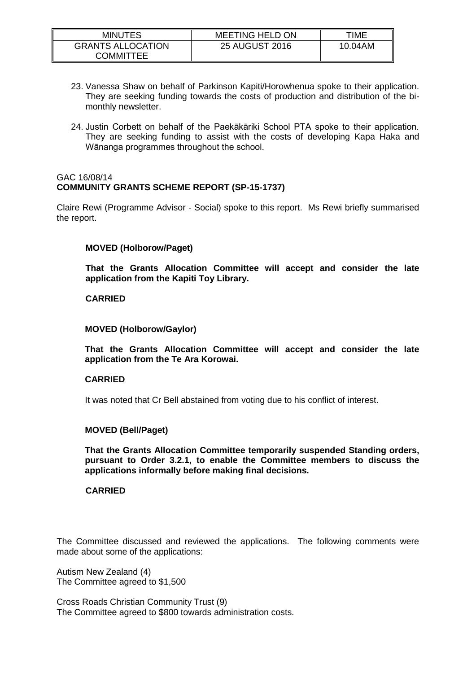| <b>MINUTES</b>                        | <b>MEETING HELD ON</b> | TIME    |
|---------------------------------------|------------------------|---------|
| <b>GRANTS ALLOCATION</b><br>COMMITTEE | <b>25 AUGUST 2016</b>  | 10.04AM |

- 23. Vanessa Shaw on behalf of Parkinson Kapiti/Horowhenua spoke to their application. They are seeking funding towards the costs of production and distribution of the bimonthly newsletter.
- 24. Justin Corbett on behalf of the Paekākāriki School PTA spoke to their application. They are seeking funding to assist with the costs of developing Kapa Haka and Wānanga programmes throughout the school.

# GAC 16/08/14 **COMMUNITY GRANTS SCHEME REPORT (SP-15-1737)**

Claire Rewi (Programme Advisor - Social) spoke to this report. Ms Rewi briefly summarised the report.

# **MOVED (Holborow/Paget)**

**That the Grants Allocation Committee will accept and consider the late application from the Kapiti Toy Library.**

#### **CARRIED**

#### **MOVED (Holborow/Gaylor)**

**That the Grants Allocation Committee will accept and consider the late application from the Te Ara Korowai.**

#### **CARRIED**

It was noted that Cr Bell abstained from voting due to his conflict of interest.

#### **MOVED (Bell/Paget)**

**That the Grants Allocation Committee temporarily suspended Standing orders, pursuant to Order 3.2.1, to enable the Committee members to discuss the applications informally before making final decisions.**

#### **CARRIED**

The Committee discussed and reviewed the applications. The following comments were made about some of the applications:

Autism New Zealand (4) The Committee agreed to \$1,500

Cross Roads Christian Community Trust (9) The Committee agreed to \$800 towards administration costs.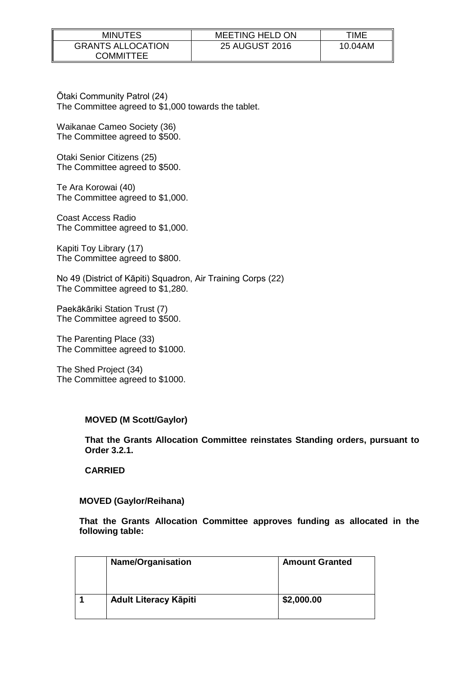| <b>MINUTES</b>           | <b>MEETING HELD ON</b> | TIME    |
|--------------------------|------------------------|---------|
| <b>GRANTS ALLOCATION</b> | <b>25 AUGUST 2016</b>  | 10.04AM |
| COMMITTEE                |                        |         |

Ōtaki Community Patrol (24) The Committee agreed to \$1,000 towards the tablet.

Waikanae Cameo Society (36) The Committee agreed to \$500.

Otaki Senior Citizens (25) The Committee agreed to \$500.

Te Ara Korowai (40) The Committee agreed to \$1,000.

Coast Access Radio The Committee agreed to \$1,000.

Kapiti Toy Library (17) The Committee agreed to \$800.

No 49 (District of Kāpiti) Squadron, Air Training Corps (22) The Committee agreed to \$1,280.

Paekākāriki Station Trust (7) The Committee agreed to \$500.

The Parenting Place (33) The Committee agreed to \$1000.

The Shed Project (34) The Committee agreed to \$1000.

# **MOVED (M Scott/Gaylor)**

**That the Grants Allocation Committee reinstates Standing orders, pursuant to Order 3.2.1.**

**CARRIED**

#### **MOVED (Gaylor/Reihana)**

**That the Grants Allocation Committee approves funding as allocated in the following table:**

| <b>Name/Organisation</b>     | <b>Amount Granted</b> |
|------------------------------|-----------------------|
| <b>Adult Literacy Kāpiti</b> | \$2,000.00            |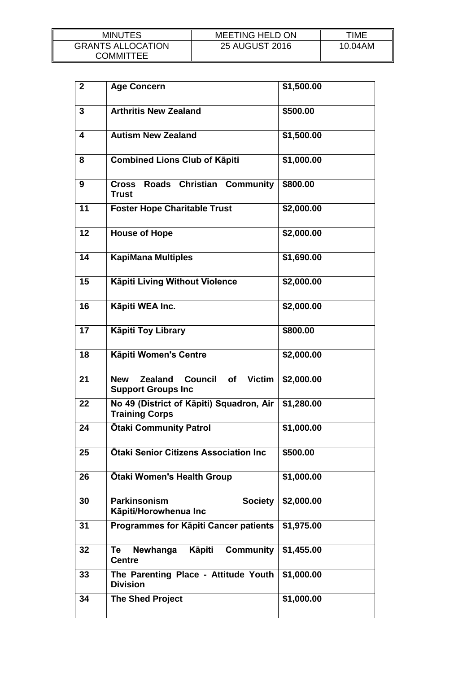| <b>MINUTES</b>                        | <b>MEETING HELD ON</b> | TIME    |
|---------------------------------------|------------------------|---------|
| <b>GRANTS ALLOCATION</b><br>COMMITTEE | <b>25 AUGUST 2016</b>  | 10.04AM |

| $\overline{2}$ | <b>Age Concern</b>                                                                                 | \$1,500.00 |
|----------------|----------------------------------------------------------------------------------------------------|------------|
| 3              | <b>Arthritis New Zealand</b>                                                                       | \$500.00   |
| 4              | <b>Autism New Zealand</b>                                                                          | \$1,500.00 |
| 8              | <b>Combined Lions Club of Käpiti</b>                                                               | \$1,000.00 |
| 9              | Cross Roads Christian<br><b>Community</b><br><b>Trust</b>                                          | \$800.00   |
| 11             | <b>Foster Hope Charitable Trust</b>                                                                | \$2,000.00 |
| 12             | <b>House of Hope</b>                                                                               | \$2,000.00 |
| 14             | <b>KapiMana Multiples</b>                                                                          | \$1,690.00 |
| 15             | Kāpiti Living Without Violence                                                                     | \$2,000.00 |
| 16             | Kāpiti WEA Inc.                                                                                    | \$2,000.00 |
| 17             | <b>Käpiti Toy Library</b>                                                                          | \$800.00   |
| 18             | Kāpiti Women's Centre                                                                              | \$2,000.00 |
| 21             | <b>Victim</b><br><b>Zealand</b><br><b>Council</b><br><b>New</b><br>of<br><b>Support Groups Inc</b> | \$2,000.00 |
| 22             | No 49 (District of Kāpiti) Squadron, Air<br><b>Training Corps</b>                                  | \$1,280.00 |
| 24             | <b>Otaki Community Patrol</b>                                                                      | \$1,000.00 |
| 25             | <b>Otaki Senior Citizens Association Inc.</b>                                                      | \$500.00   |
| 26             | <b>Otaki Women's Health Group</b>                                                                  | \$1,000.00 |
| 30             | <b>Parkinsonism</b><br><b>Society</b><br>Kāpiti/Horowhenua Inc                                     | \$2,000.00 |
| 31             | Programmes for Kāpiti Cancer patients                                                              | \$1,975.00 |
| 32             | Newhanga<br><b>Käpiti</b><br><b>Community</b><br>Te<br><b>Centre</b>                               | \$1,455.00 |
| 33             | The Parenting Place - Attitude Youth<br><b>Division</b>                                            | \$1,000.00 |
| 34             | <b>The Shed Project</b>                                                                            | \$1,000.00 |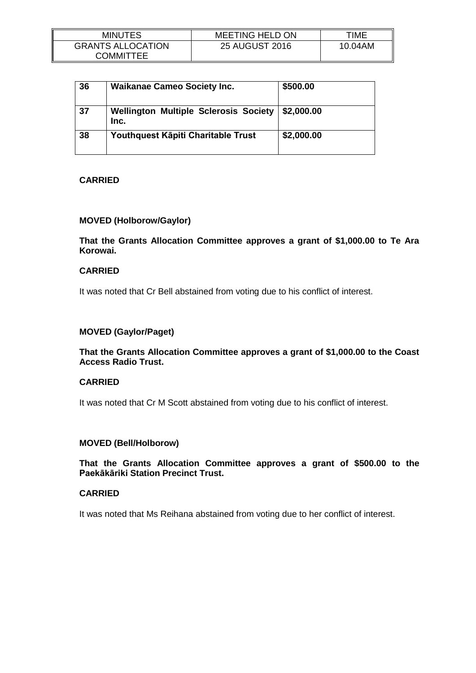| <b>MINUTES</b>                        | <b>MEETING HELD ON</b> | TIME    |
|---------------------------------------|------------------------|---------|
| <b>GRANTS ALLOCATION</b><br>COMMITTEE | 25 AUGUST 2016         | 10.04AM |

| 36 | <b>Waikanae Cameo Society Inc.</b>                   | \$500.00   |
|----|------------------------------------------------------|------------|
| 37 | <b>Wellington Multiple Sclerosis Society</b><br>Inc. | \$2,000.00 |
| 38 | Youthquest Kāpiti Charitable Trust                   | \$2,000.00 |

# **CARRIED**

# **MOVED (Holborow/Gaylor)**

**That the Grants Allocation Committee approves a grant of \$1,000.00 to Te Ara Korowai.**

# **CARRIED**

It was noted that Cr Bell abstained from voting due to his conflict of interest.

# **MOVED (Gaylor/Paget)**

**That the Grants Allocation Committee approves a grant of \$1,000.00 to the Coast Access Radio Trust.**

# **CARRIED**

It was noted that Cr M Scott abstained from voting due to his conflict of interest.

# **MOVED (Bell/Holborow)**

**That the Grants Allocation Committee approves a grant of \$500.00 to the Paekākāriki Station Precinct Trust.**

## **CARRIED**

It was noted that Ms Reihana abstained from voting due to her conflict of interest.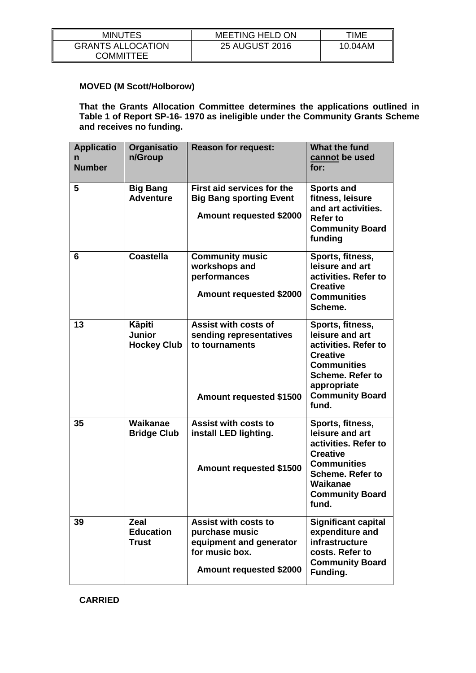| <b>MINUTES</b>                        | <b>MEETING HELD ON</b> | TIME    |
|---------------------------------------|------------------------|---------|
| <b>GRANTS ALLOCATION</b><br>COMMITTEE | <b>25 AUGUST 2016</b>  | 10.04AM |

# **MOVED (M Scott/Holborow)**

**That the Grants Allocation Committee determines the applications outlined in Table 1 of Report SP-16- 1970 as ineligible under the Community Grants Scheme and receives no funding.**

| <b>Applicatio</b><br><b>Number</b> | Organisatio<br>n/Group                               | <b>Reason for request:</b>                                                                                            | <b>What the fund</b><br>cannot be used<br>for:                                                                                                                                    |
|------------------------------------|------------------------------------------------------|-----------------------------------------------------------------------------------------------------------------------|-----------------------------------------------------------------------------------------------------------------------------------------------------------------------------------|
| 5                                  | <b>Big Bang</b><br><b>Adventure</b>                  | First aid services for the<br><b>Big Bang sporting Event</b><br><b>Amount requested \$2000</b>                        | <b>Sports and</b><br>fitness, leisure<br>and art activities.<br><b>Refer to</b><br><b>Community Board</b><br>funding                                                              |
| 6                                  | <b>Coastella</b>                                     | <b>Community music</b><br>workshops and<br>performances<br><b>Amount requested \$2000</b>                             | Sports, fitness,<br>leisure and art<br>activities. Refer to<br><b>Creative</b><br><b>Communities</b><br>Scheme.                                                                   |
| 13                                 | <b>Käpiti</b><br><b>Junior</b><br><b>Hockey Club</b> | <b>Assist with costs of</b><br>sending representatives<br>to tournaments<br><b>Amount requested \$1500</b>            | Sports, fitness,<br>leisure and art<br>activities. Refer to<br><b>Creative</b><br><b>Communities</b><br><b>Scheme. Refer to</b><br>appropriate<br><b>Community Board</b><br>fund. |
| 35                                 | Waikanae<br><b>Bridge Club</b>                       | <b>Assist with costs to</b><br>install LED lighting.<br><b>Amount requested \$1500</b>                                | Sports, fitness,<br>leisure and art<br>activities. Refer to<br><b>Creative</b><br><b>Communities</b><br><b>Scheme. Refer to</b><br>Waikanae<br><b>Community Board</b><br>fund.    |
| 39                                 | <b>Zeal</b><br><b>Education</b><br><b>Trust</b>      | <b>Assist with costs to</b><br>purchase music<br>equipment and generator<br>for music box.<br>Amount requested \$2000 | <b>Significant capital</b><br>expenditure and<br>infrastructure<br>costs. Refer to<br><b>Community Board</b><br>Funding.                                                          |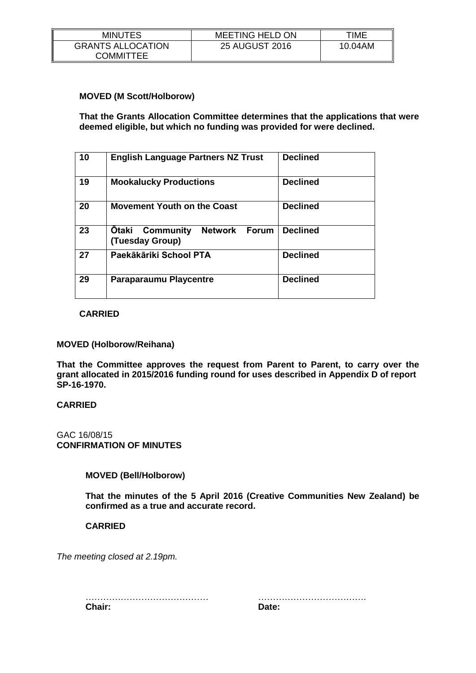| <b>MINUTES</b>                        | <b>MEETING HELD ON</b> | TIME    |
|---------------------------------------|------------------------|---------|
| <b>GRANTS ALLOCATION</b><br>COMMITTEE | 25 AUGUST 2016         | 10.04AM |

# **MOVED (M Scott/Holborow)**

**That the Grants Allocation Committee determines that the applications that were deemed eligible, but which no funding was provided for were declined.**

| 10 | <b>English Language Partners NZ Trust</b>                                      | <b>Declined</b> |
|----|--------------------------------------------------------------------------------|-----------------|
| 19 | <b>Mookalucky Productions</b>                                                  | <b>Declined</b> |
| 20 | <b>Movement Youth on the Coast</b>                                             | <b>Declined</b> |
| 23 | <b>Otaki</b><br><b>Network</b><br>Community<br><b>Forum</b><br>(Tuesday Group) | <b>Declined</b> |
| 27 | Paekākāriki School PTA                                                         | <b>Declined</b> |
| 29 | <b>Paraparaumu Playcentre</b>                                                  | <b>Declined</b> |

#### **CARRIED**

#### **MOVED (Holborow/Reihana)**

**That the Committee approves the request from Parent to Parent, to carry over the grant allocated in 2015/2016 funding round for uses described in Appendix D of report SP-16-1970.**

#### **CARRIED**

# GAC 16/08/15 **CONFIRMATION OF MINUTES**

# **MOVED (Bell/Holborow)**

**That the minutes of the 5 April 2016 (Creative Communities New Zealand) be confirmed as a true and accurate record.**

#### **CARRIED**

*The meeting closed at 2.19pm.*

…………………………………… ………………………………. **Chair: Date:**